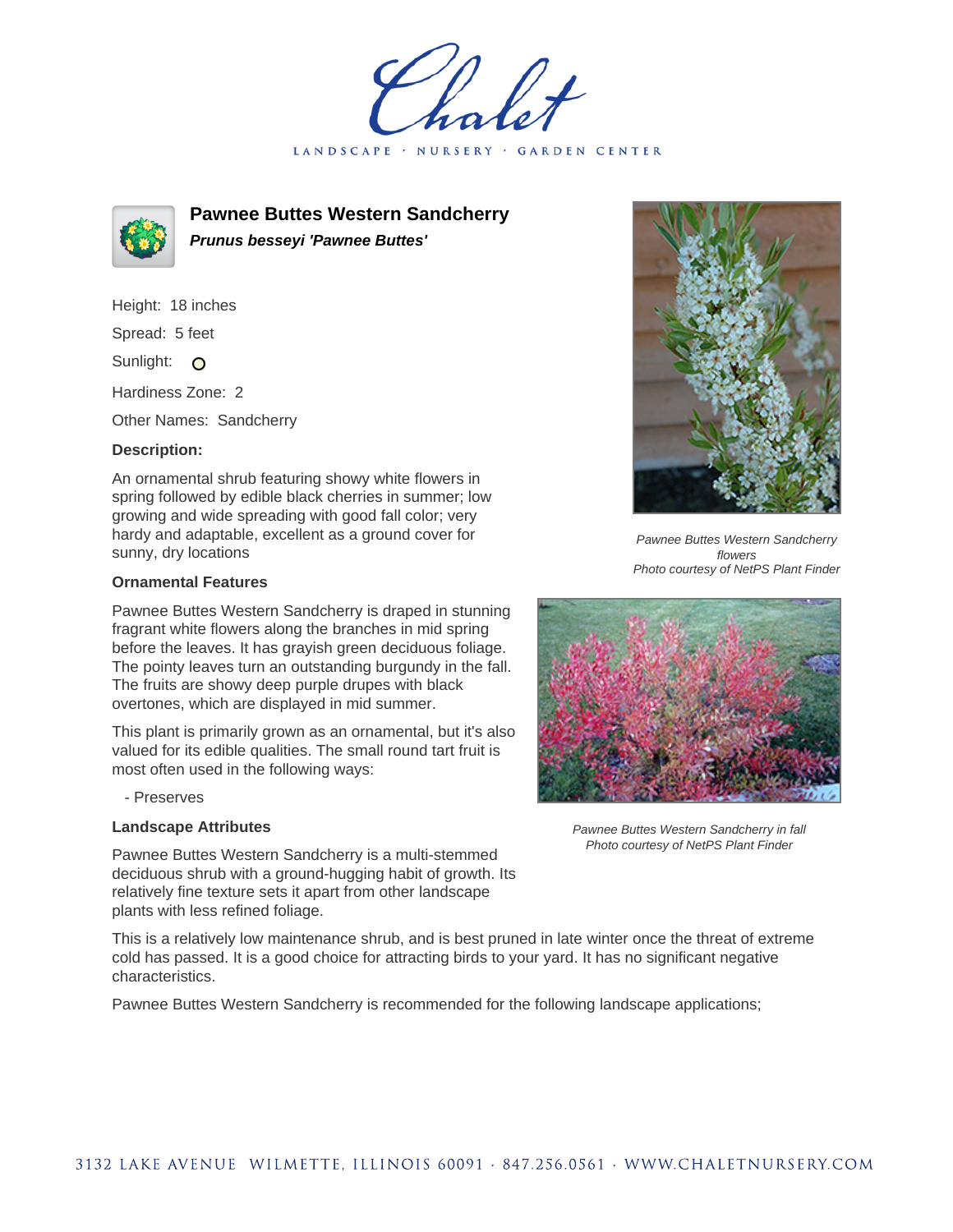LANDSCAPE · **GARDEN CENTER** 



# **Pawnee Buttes Western Sandcherry Prunus besseyi 'Pawnee Buttes'**

Height: 18 inches Spread: 5 feet

Sunlight: O

Hardiness Zone: 2

Other Names: Sandcherry

# **Description:**

An ornamental shrub featuring showy white flowers in spring followed by edible black cherries in summer; low growing and wide spreading with good fall color; very hardy and adaptable, excellent as a ground cover for sunny, dry locations

### **Ornamental Features**

Pawnee Buttes Western Sandcherry is draped in stunning fragrant white flowers along the branches in mid spring before the leaves. It has grayish green deciduous foliage. The pointy leaves turn an outstanding burgundy in the fall. The fruits are showy deep purple drupes with black overtones, which are displayed in mid summer.

This plant is primarily grown as an ornamental, but it's also valued for its edible qualities. The small round tart fruit is most often used in the following ways:

- Preserves

# **Landscape Attributes**

Pawnee Buttes Western Sandcherry is a multi-stemmed deciduous shrub with a ground-hugging habit of growth. Its relatively fine texture sets it apart from other landscape plants with less refined foliage.

This is a relatively low maintenance shrub, and is best pruned in late winter once the threat of extreme cold has passed. It is a good choice for attracting birds to your yard. It has no significant negative characteristics.

Pawnee Buttes Western Sandcherry is recommended for the following landscape applications;



Pawnee Buttes Western Sandcherry flowers Photo courtesy of NetPS Plant Finder



Pawnee Buttes Western Sandcherry in fall Photo courtesy of NetPS Plant Finder